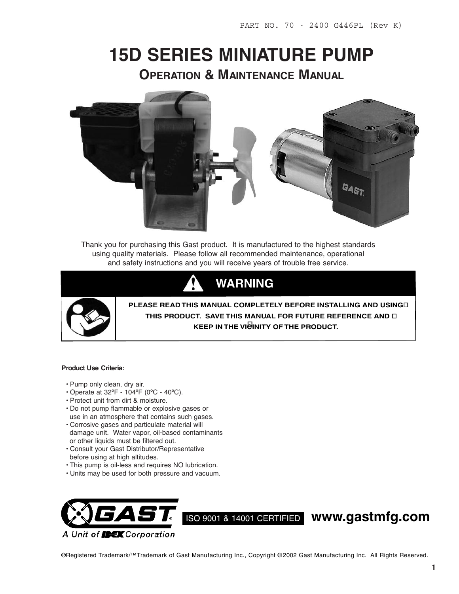# **15D SERIES MINIATURE PUMP OPERATION & MAINTENANCE MANUAL**



Thank you for purchasing this Gast product. It is manufactured to the highest standards using quality materials. Please follow all recommended maintenance, operational and safety instructions and you will receive years of trouble free service.





**PLEASE READ THIS MANUAL COMPLETELY BEFORE INSTALLING AND USING THIS PRODUCT. SAVE THIS MANUAL FOR FUTURE REFERENCE AND KEEP IN THE VICINITY OF THE PRODUCT.**

#### **Product Use Criteria:**

- Pump only clean, dry air.
- Operate at 32ºF 104ºF (0ºC 40ºC).
- Protect unit from dirt & moisture.
- Do not pump flammable or explosive gases or use in an atmosphere that contains such gases.
- Corrosive gases and particulate material will damage unit. Water vapor, oil-based contaminants or other liquids must be filtered out.
- Consult your Gast Distributor/Representative before using at high altitudes.
- This pump is oil-less and requires NO lubrication.
- Units may be used for both pressure and vacuum.



®Registered Trademark/™Trademark of Gast Manufacturing Inc., Copyright © 2002 Gast Manufacturing Inc. All Rights Reserved.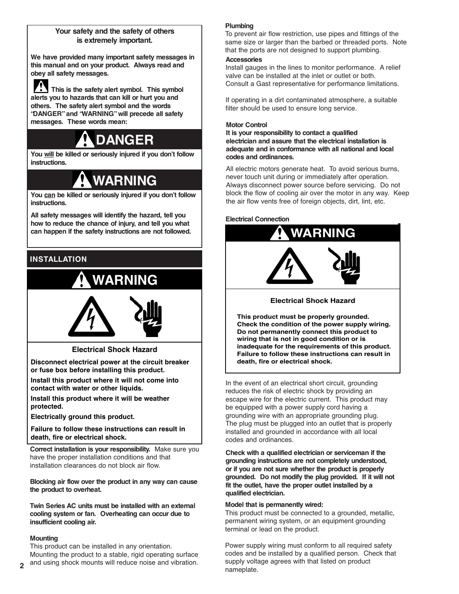#### **Your safety and the safety of others is extremely important.**

**We have provided many important safety messages in this manual and on your product. Always read and obey all safety messages.**

**This is the safety alert symbol. This symbol alerts you to hazards that can kill or hurt you and others. The safety alert symbol and the words "DANGER"and "WARNING"will precede all safety messages. These words mean:**

# **DANGER**

**You will be killed or seriously injured if you don't follow instructions.**

# **WARNING**

**You can be killed or seriously injured if you don't follow instructions.**

**All safety messages will identify the hazard, tell you how to reduce the chance of injury, and tell you what can happen if the safety instructions are not followed.**

# **INSTALLATION**

# **WARNING**



**Electrical Shock Hazard**

**Disconnect electrical power at the circuit breaker or fuse box before installing this product.**

**Install this product where it will not come into contact with water or other liquids.**

**Install this product where it will be weather protected.**

**Electrically ground this product.**

**Failure to follow these instructions can result in death, fire or electrical shock.**

**Correct installation is your responsibility.** Make sure you have the proper installation conditions and that installation clearances do not block air flow.

**Blocking air flow over the product in any way can cause the product to overheat.**

**Twin Series AC units must be installed with an external cooling system or fan. Overheating can occur due to insufficient cooling air.**

#### **Mounting**

This product can be installed in any orientation. Mounting the product to a stable, rigid operating surface and using shock mounts will reduce noise and vibration.

### **Plumbing**

To prevent air flow restriction, use pipes and fittings of the same size or larger than the barbed or threaded ports. Note that the ports are not designed to support plumbing.

#### **Accessories**

Install gauges in the lines to monitor performance. A relief valve can be installed at the inlet or outlet or both. Consult a Gast representative for performance limitations.

If operating in a dirt contaminated atmosphere, a suitable filter should be used to ensure long service.

#### **Motor Control**

**It is your responsibility to contact a qualified electrician and assure that the electrical installation is adequate and in conformance with all national and local codes and ordinances.**

All electric motors generate heat. To avoid serious burns, never touch unit during or immediately after operation. Always disconnect power source before servicing. Do not block the flow of cooling air over the motor in any way. Keep the air flow vents free of foreign objects, dirt, lint, etc.

#### **Electrical Connection**



**Electrical Shock Hazard**

**This product must be properly grounded. Check the condition of the power supply wiring. Do not permanently connect this product to wiring that is not in good condition or is inadequate for the requirements of this product. Failure to follow these instructions can result in death, fire or electrical shock.**

In the event of an electrical short circuit, grounding reduces the risk of electric shock by providing an escape wire for the electric current. This product may be equipped with a power supply cord having a grounding wire with an appropriate grounding plug. The plug must be plugged into an outlet that is properly installed and grounded in accordance with all local codes and ordinances.

**Check with a qualified electrician or serviceman if the grounding instructions are not completely understood, or if you are not sure whether the product is properly grounded. Do not modify the plug provided. If it will not fit the outlet, have the proper outlet installed by a qualified electrician.**

#### **Model that is permanently wired:**

This product must be connected to a grounded, metallic, permanent wiring system, or an equipment grounding terminal or lead on the product.

Power supply wiring must conform to all required safety codes and be installed by a qualified person. Check that supply voltage agrees with that listed on product nameplate.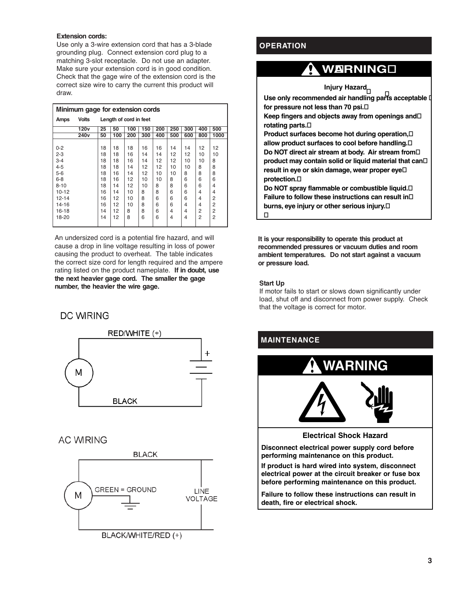#### **Extension cords:**

Use only a 3-wire extension cord that has a 3-blade grounding plug. Connect extension cord plug to a matching 3-slot receptacle. Do not use an adapter. Make sure your extension cord is in good condition. Check that the gage wire of the extension cord is the correct size wire to carry the current this product will draw.

| Minimum gage for extension cords |                  |                        |     |     |     |     |     |     |                |      |
|----------------------------------|------------------|------------------------|-----|-----|-----|-----|-----|-----|----------------|------|
| Amps                             | <b>Volts</b>     | Length of cord in feet |     |     |     |     |     |     |                |      |
|                                  | 120 <sub>v</sub> | 25                     | 50  | 100 | 150 | 200 | 250 | 300 | 400            | 500  |
|                                  | 240 <sub>v</sub> | 50                     | 100 | 200 | 300 | 400 | 500 | 600 | 800            | 1000 |
|                                  |                  |                        |     |     |     |     |     |     |                |      |
| $0 - 2$                          |                  | 18                     | 18  | 18  | 16  | 16  | 14  | 14  | 12             | 12   |
| $2 - 3$                          |                  | 18                     | 18  | 16  | 14  | 14  | 12  | 12  | 10             | 10   |
| $3 - 4$                          |                  | 18                     | 18  | 16  | 14  | 12  | 12  | 10  | 10             | 8    |
| $4 - 5$                          |                  | 18                     | 18  | 14  | 12  | 12  | 10  | 10  | 8              | 8    |
| 5-6                              |                  | 18                     | 16  | 14  | 12  | 10  | 10  | 8   | 8              | 8    |
| 6-8                              |                  | 18                     | 16  | 12  | 10  | 10  | 8   | 6   | 6              | 6    |
| $8 - 10$                         |                  | 18                     | 14  | 12  | 10  | 8   | 8   | 6   | 6              | 4    |
| 10-12                            |                  | 16                     | 14  | 10  | 8   | 8   | 6   | 6   | $\overline{4}$ | 4    |
| 12-14                            |                  | 16                     | 12  | 10  | 8   | 6   | 6   | 6   | $\overline{4}$ | 2    |
| 14-16                            |                  | 16                     | 12  | 10  | 8   | 6   | 6   | 4   | 4              | 2    |
| 16-18                            |                  | 14                     | 12  | 8   | 8   | 6   | 4   | 4   | 2              | 2    |
| 18-20                            |                  | 14                     | 12  | 8   | 6   | 6   | 4   | 4   | 2              | 2    |
|                                  |                  |                        |     |     |     |     |     |     |                |      |

An undersized cord is a potential fire hazard, and will cause a drop in line voltage resulting in loss of power causing the product to overheat. The table indicates the correct size cord for length required and the ampere rating listed on the product nameplate. **If in doubt, use the next heavier gage cord. The smaller the gage number, the heavier the wire gage.**

### **DC WIRING**



### **AC WIRING**



### **OPERATION**

# **WARNING**

**Injury Hazard**

**Use only recommended air handling parts acceptable for pressure not less than 70 psi.** 

**Keep fingers and objects away from openings and rotating parts.** 

**Product surfaces become hot during operation, allow product surfaces to cool before handling. Do NOT direct air stream at body. Air stream from product may contain solid or liquid material that can result in eye or skin damage, wear proper eye protection.** 

**Do NOT spray flammable or combustible liquid. Failure to follow these instructions can result in burns, eye injury or other serious injury.** 

**It is your responsibility to operate this product at recommended pressures or vacuum duties and room ambient temperatures. Do not start against a vacuum or pressure load.**

#### **Start Up**

If motor fails to start or slows down significantly under load, shut off and disconnect from power supply. Check that the voltage is correct for motor.

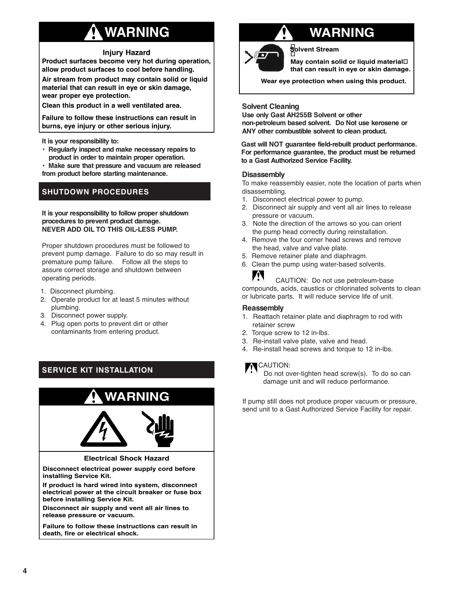# **WARNING**

#### **Injury Hazard**

**Product surfaces become very hot during operation, allow product surfaces to cool before handling.**

**Air stream from product may contain solid or liquid material that can result in eye or skin damage, wear proper eye protection.**

**Clean this product in a well ventilated area.**

**Failure to follow these instructions can result in burns, eye injury or other serious injury.**

**It is your responsibility to:**

- **• Regularly inspect and make necessary repairs to product in order to maintain proper operation.**
- **• Make sure that pressure and vacuum are released from product before starting maintenance.**

## **SHUTDOWN PROCEDURES**

#### **It is your responsibility to follow proper shutdown procedures to prevent product damage. NEVER ADD OIL TO THIS OIL-LESS PUMP.**

Proper shutdown procedures must be followed to prevent pump damage. Failure to do so may result in premature pump failure. Follow all the steps to assure correct storage and shutdown between operating periods.

- 1. Disconnect plumbing.
- 2. Operate product for at least 5 minutes without plumbing.
- 3. Disconnect power supply.
- 4. Plug open ports to prevent dirt or other contaminants from entering product.

# **SERVICE KIT INSTALLATION**



# **WARNING**



**Solvent Stream**

**May contain solid or liquid material that can result in eye or skin damage.**

**Wear eye protection when using this product.**

#### **Solvent Cleaning**

**Use only Gast AH255B Solvent or other non-petroleum based solvent. Do Not use kerosene or ANY other combustible solvent to clean product.**

**Gast will NOT guarantee field-rebuilt product performance. For performance guarantee, the product must be returned to a Gast Authorized Service Facility.**

#### **Disassembly**

To make reassembly easier, note the location of parts when disassembling.

- 1. Disconnect electrical power to pump.
- 2. Disconnect air supply and vent all air lines to release pressure or vacuum.
- 3. Note the direction of the arrows so you can orient the pump head correctly during reinstallation.
- 4. Remove the four corner head screws and remove the head, valve and valve plate.
- 5. Remove retainer plate and diaphragm.
- 6. Clean the pump using water-based solvents.

A CAUTION: Do not use petroleum-base compounds, acids, caustics or chlorinated solvents to clean or lubricate parts. It will reduce service life of unit.

#### **Reassembly**

- 1. Reattach retainer plate and diaphragm to rod with retainer screw
- 2. Torque screw to 12 in-lbs.
- 3. Re-install valve plate, valve and head.
- 4. Re-install head screws and torque to 12 in-lbs.

### **N**CAUTION:

Do not over-tighten head screw(s). To do so can damage unit and will reduce performance.

If pump still does not produce proper vacuum or pressure, send unit to a Gast Authorized Service Facility for repair.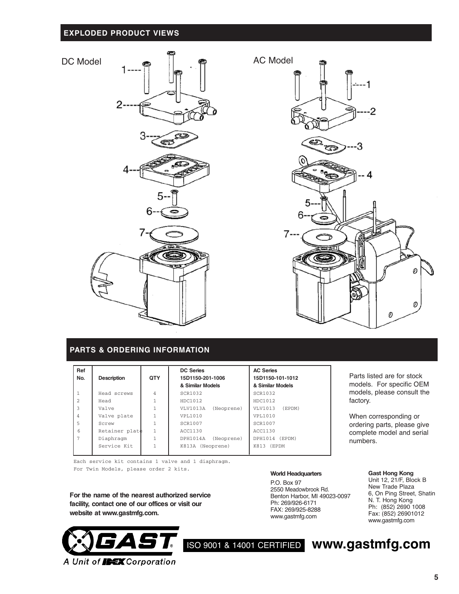### **EXPLODED PRODUCT VIEWS**



#### **PARTS & ORDERING INFORMATION**

| Ref<br>No.     | <b>Description</b> | <b>QTY</b>   | <b>DC Series</b><br>15D1150-201-1006<br>& Similar Models | <b>AC Series</b><br>15D1150-101-1012<br>& Similar Models |  |
|----------------|--------------------|--------------|----------------------------------------------------------|----------------------------------------------------------|--|
| $\mathbf{1}$   | Head screws        | 4            | <b>SCR1032</b>                                           | SCR1032                                                  |  |
| $\mathfrak{D}$ | Head               | $\mathbf{1}$ | HDC1012                                                  | HDC1012                                                  |  |
| 3              | Valve              | 1            | VLV1013A<br>(Neoprene)                                   | VLV1013<br>(EPDM)                                        |  |
| 4              | Valve plate        | 1            | VPL1010                                                  | VPL1010                                                  |  |
| 5              | Screw              | 1            | SCR1007                                                  | <b>SCR1007</b>                                           |  |
| 6              | Retainer plate     | 1            | ACC1130                                                  | ACC1130                                                  |  |
| 7              | Diaphragm          | $\mathbf{1}$ | DPH1014A<br>(Neoprene)                                   | DPH1014 (EPDM)                                           |  |
|                | Service Kit        | 1            | K813A (Neoprene)                                         | K813 (EPDM                                               |  |

Each service kit contains 1 valve and 1 diaphragm. For Twin Models, please order <sup>2</sup> kits. **Gast Hong Kong**

**For the name of the nearest authorized service facility, contact one of our offices or visit our website at www.gastmfg.com.**



#### **World Headquarters**

P.O. Box 97 2550 Meadowbrook Rd. Benton Harbor, MI 49023-0097 Ph: 269/926-6171 FAX: 269/925-8288 www.gastmfg.com

Parts listed are for stock models. For specific OEM models, please consult the factory.

When corresponding or ordering parts, please give complete model and serial numbers.

Unit 12, 21/F, Block B New Trade Plaza 6, On Ping Street, Shatin N. T. Hong Kong Ph: (852) 2690 1008 Fax: (852) 26901012 www.gastmfg.com

ISO <sup>9001</sup> & <sup>14001</sup> CERTIFIED **www.gastmfg.com**